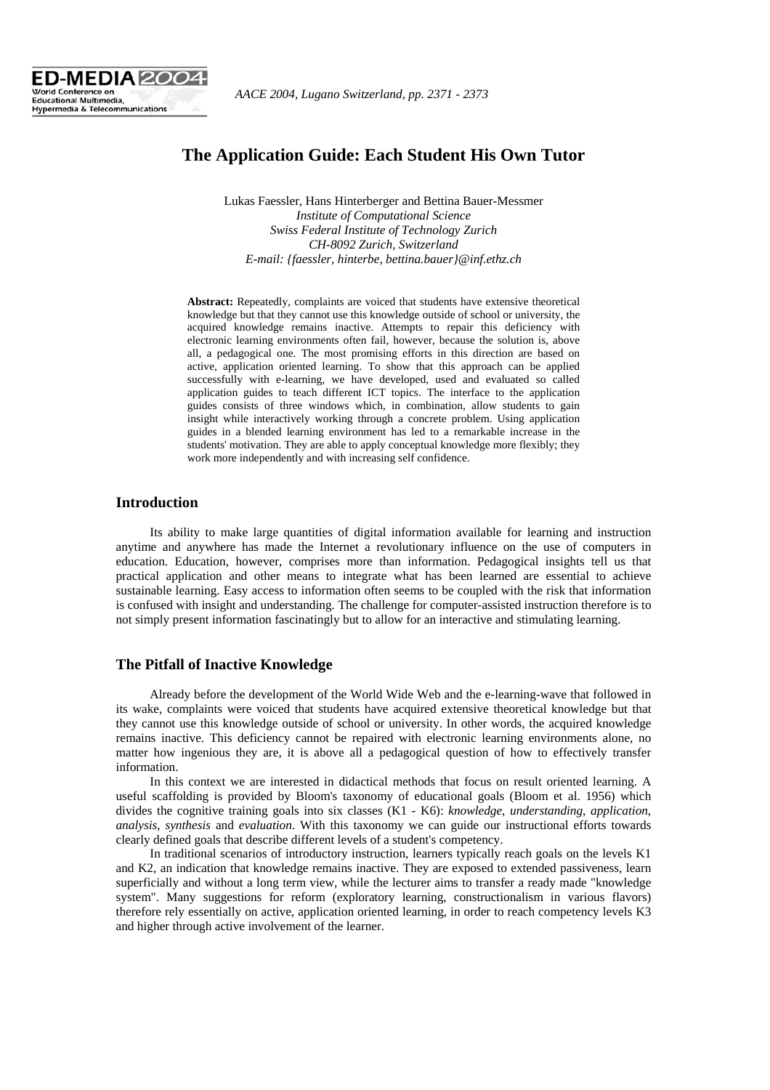

# **The Application Guide: Each Student His Own Tutor**

Lukas Faessler, Hans Hinterberger and Bettina Bauer-Messmer *Institute of Computational Science Swiss Federal Institute of Technology Zurich CH-8092 Zurich, Switzerland E-mail: {faessler, hinterbe, bettina.bauer}@inf.ethz.ch* 

**Abstract:** Repeatedly, complaints are voiced that students have extensive theoretical knowledge but that they cannot use this knowledge outside of school or university, the acquired knowledge remains inactive. Attempts to repair this deficiency with electronic learning environments often fail, however, because the solution is, above all, a pedagogical one. The most promising efforts in this direction are based on active, application oriented learning. To show that this approach can be applied successfully with e-learning, we have developed, used and evaluated so called application guides to teach different ICT topics. The interface to the application guides consists of three windows which, in combination, allow students to gain insight while interactively working through a concrete problem. Using application guides in a blended learning environment has led to a remarkable increase in the students' motivation. They are able to apply conceptual knowledge more flexibly; they work more independently and with increasing self confidence.

## **Introduction**

Its ability to make large quantities of digital information available for learning and instruction anytime and anywhere has made the Internet a revolutionary influence on the use of computers in education. Education, however, comprises more than information. Pedagogical insights tell us that practical application and other means to integrate what has been learned are essential to achieve sustainable learning. Easy access to information often seems to be coupled with the risk that information is confused with insight and understanding. The challenge for computer-assisted instruction therefore is to not simply present information fascinatingly but to allow for an interactive and stimulating learning.

#### **The Pitfall of Inactive Knowledge**

Already before the development of the World Wide Web and the e-learning-wave that followed in its wake, complaints were voiced that students have acquired extensive theoretical knowledge but that they cannot use this knowledge outside of school or university. In other words, the acquired knowledge remains inactive. This deficiency cannot be repaired with electronic learning environments alone, no matter how ingenious they are, it is above all a pedagogical question of how to effectively transfer information.

In this context we are interested in didactical methods that focus on result oriented learning. A useful scaffolding is provided by Bloom's taxonomy of educational goals (Bloom et al. 1956) which divides the cognitive training goals into six classes (K1 - K6): *knowledge*, *understanding*, *application*, *analysis*, *synthesis* and *evaluation*. With this taxonomy we can guide our instructional efforts towards clearly defined goals that describe different levels of a student's competency.

In traditional scenarios of introductory instruction, learners typically reach goals on the levels K1 and K2, an indication that knowledge remains inactive. They are exposed to extended passiveness, learn superficially and without a long term view, while the lecturer aims to transfer a ready made "knowledge system". Many suggestions for reform (exploratory learning, constructionalism in various flavors) therefore rely essentially on active, application oriented learning, in order to reach competency levels K3 and higher through active involvement of the learner.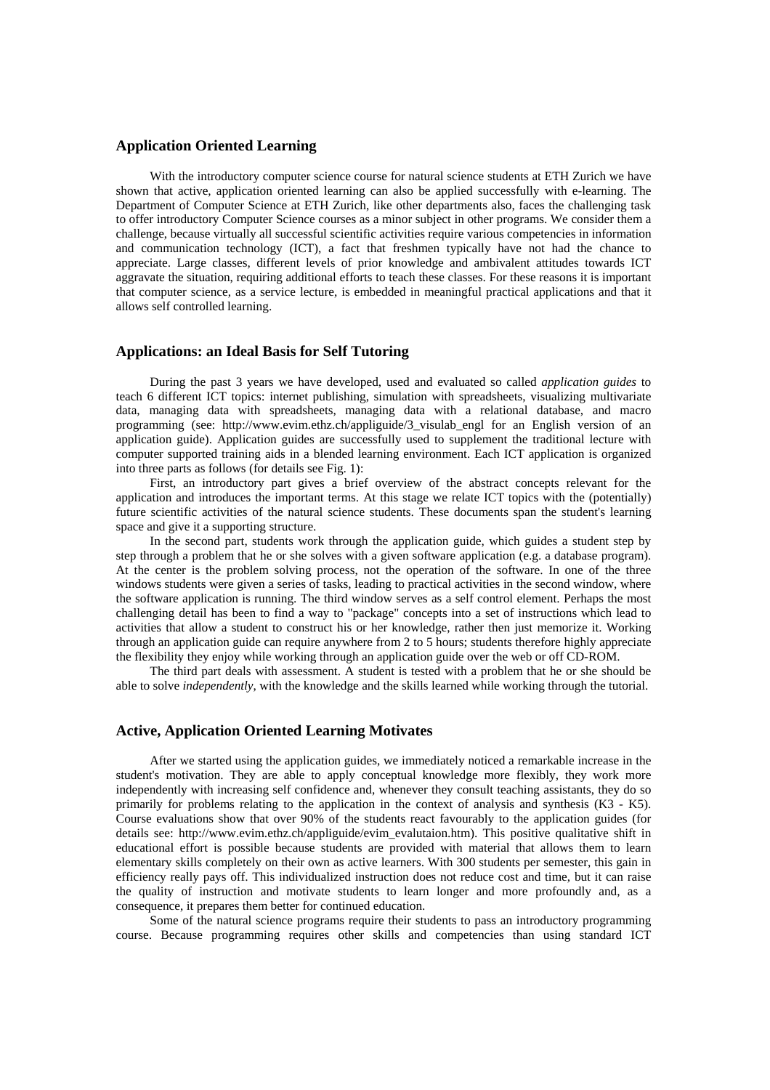#### **Application Oriented Learning**

With the introductory computer science course for natural science students at ETH Zurich we have shown that active, application oriented learning can also be applied successfully with e-learning. The Department of Computer Science at ETH Zurich, like other departments also, faces the challenging task to offer introductory Computer Science courses as a minor subject in other programs. We consider them a challenge, because virtually all successful scientific activities require various competencies in information and communication technology (ICT), a fact that freshmen typically have not had the chance to appreciate. Large classes, different levels of prior knowledge and ambivalent attitudes towards ICT aggravate the situation, requiring additional efforts to teach these classes. For these reasons it is important that computer science, as a service lecture, is embedded in meaningful practical applications and that it allows self controlled learning.

#### **Applications: an Ideal Basis for Self Tutoring**

During the past 3 years we have developed, used and evaluated so called *application guides* to teach 6 different ICT topics: internet publishing, simulation with spreadsheets, visualizing multivariate data, managing data with spreadsheets, managing data with a relational database, and macro programming (see: http://www.evim.ethz.ch/appliguide/3\_visulab\_engl for an English version of an application guide). Application guides are successfully used to supplement the traditional lecture with computer supported training aids in a blended learning environment. Each ICT application is organized into three parts as follows (for details see Fig. 1):

First, an introductory part gives a brief overview of the abstract concepts relevant for the application and introduces the important terms. At this stage we relate ICT topics with the (potentially) future scientific activities of the natural science students. These documents span the student's learning space and give it a supporting structure.

In the second part, students work through the application guide, which guides a student step by step through a problem that he or she solves with a given software application (e.g. a database program). At the center is the problem solving process, not the operation of the software. In one of the three windows students were given a series of tasks, leading to practical activities in the second window, where the software application is running. The third window serves as a self control element. Perhaps the most challenging detail has been to find a way to "package" concepts into a set of instructions which lead to activities that allow a student to construct his or her knowledge, rather then just memorize it. Working through an application guide can require anywhere from 2 to 5 hours; students therefore highly appreciate the flexibility they enjoy while working through an application guide over the web or off CD-ROM.

The third part deals with assessment. A student is tested with a problem that he or she should be able to solve *independently*, with the knowledge and the skills learned while working through the tutorial.

### **Active, Application Oriented Learning Motivates**

After we started using the application guides, we immediately noticed a remarkable increase in the student's motivation. They are able to apply conceptual knowledge more flexibly, they work more independently with increasing self confidence and, whenever they consult teaching assistants, they do so primarily for problems relating to the application in the context of analysis and synthesis (K3 - K5). Course evaluations show that over 90% of the students react favourably to the application guides (for details see: http://www.evim.ethz.ch/appliguide/evim\_evalutaion.htm). This positive qualitative shift in educational effort is possible because students are provided with material that allows them to learn elementary skills completely on their own as active learners. With 300 students per semester, this gain in efficiency really pays off. This individualized instruction does not reduce cost and time, but it can raise the quality of instruction and motivate students to learn longer and more profoundly and, as a consequence, it prepares them better for continued education.

Some of the natural science programs require their students to pass an introductory programming course. Because programming requires other skills and competencies than using standard ICT